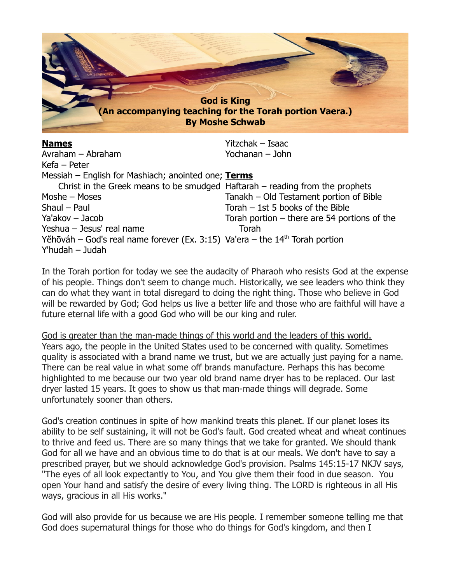

| <b>Names</b>                                                                      | Yitzchak - Isaac                               |
|-----------------------------------------------------------------------------------|------------------------------------------------|
| Avraham - Abraham                                                                 | Yochanan - John                                |
| Kefa – Peter                                                                      |                                                |
| Messiah – English for Mashiach; anointed one; Terms                               |                                                |
| Christ in the Greek means to be smudged $Haf$ aftarah – reading from the prophets |                                                |
| Moshe - Moses                                                                     | Tanakh - Old Testament portion of Bible        |
| Shaul - Paul                                                                      | Torah $-$ 1st 5 books of the Bible             |
| Ya'akov - Jacob                                                                   | Torah portion $-$ there are 54 portions of the |
| Yeshua - Jesus' real name                                                         | Torah                                          |
| Yěhōváh – God's real name forever (Ex. 3:15) Va'era – the $14th$ Torah portion    |                                                |
| $Y'$ hudah $-$ Judah                                                              |                                                |

In the Torah portion for today we see the audacity of Pharaoh who resists God at the expense of his people. Things don't seem to change much. Historically, we see leaders who think they can do what they want in total disregard to doing the right thing. Those who believe in God will be rewarded by God; God helps us live a better life and those who are faithful will have a future eternal life with a good God who will be our king and ruler.

God is greater than the man-made things of this world and the leaders of this world. Years ago, the people in the United States used to be concerned with quality. Sometimes quality is associated with a brand name we trust, but we are actually just paying for a name. There can be real value in what some off brands manufacture. Perhaps this has become highlighted to me because our two year old brand name dryer has to be replaced. Our last dryer lasted 15 years. It goes to show us that man-made things will degrade. Some unfortunately sooner than others.

God's creation continues in spite of how mankind treats this planet. If our planet loses its ability to be self sustaining, it will not be God's fault. God created wheat and wheat continues to thrive and feed us. There are so many things that we take for granted. We should thank God for all we have and an obvious time to do that is at our meals. We don't have to say a prescribed prayer, but we should acknowledge God's provision. Psalms 145:15-17 NKJV says, "The eyes of all look expectantly to You, and You give them their food in due season. You open Your hand and satisfy the desire of every living thing. The LORD is righteous in all His ways, gracious in all His works."

God will also provide for us because we are His people. I remember someone telling me that God does supernatural things for those who do things for God's kingdom, and then I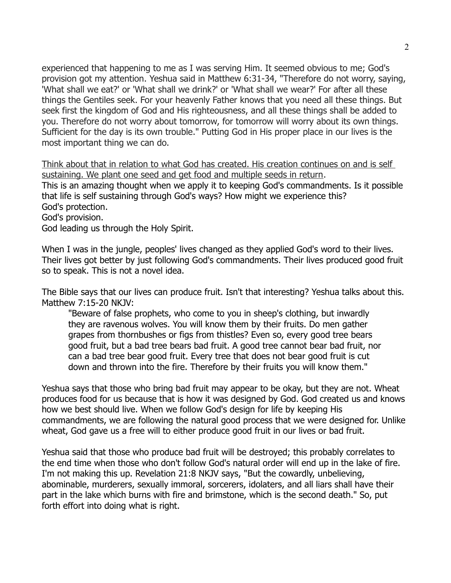experienced that happening to me as I was serving Him. It seemed obvious to me; God's provision got my attention. Yeshua said in Matthew 6:31-34, "Therefore do not worry, saying, 'What shall we eat?' or 'What shall we drink?' or 'What shall we wear?' For after all these things the Gentiles seek. For your heavenly Father knows that you need all these things. But seek first the kingdom of God and His righteousness, and all these things shall be added to you. Therefore do not worry about tomorrow, for tomorrow will worry about its own things. Sufficient for the day is its own trouble." Putting God in His proper place in our lives is the most important thing we can do.

Think about that in relation to what God has created. His creation continues on and is self sustaining. We plant one seed and get food and multiple seeds in return.

This is an amazing thought when we apply it to keeping God's commandments. Is it possible that life is self sustaining through God's ways? How might we experience this? God's protection.

God's provision.

God leading us through the Holy Spirit.

When I was in the jungle, peoples' lives changed as they applied God's word to their lives. Their lives got better by just following God's commandments. Their lives produced good fruit so to speak. This is not a novel idea.

The Bible says that our lives can produce fruit. Isn't that interesting? Yeshua talks about this. Matthew 7:15-20 NKJV:

"Beware of false prophets, who come to you in sheep's clothing, but inwardly they are ravenous wolves. You will know them by their fruits. Do men gather grapes from thornbushes or figs from thistles? Even so, every good tree bears good fruit, but a bad tree bears bad fruit. A good tree cannot bear bad fruit, nor can a bad tree bear good fruit. Every tree that does not bear good fruit is cut down and thrown into the fire. Therefore by their fruits you will know them."

Yeshua says that those who bring bad fruit may appear to be okay, but they are not. Wheat produces food for us because that is how it was designed by God. God created us and knows how we best should live. When we follow God's design for life by keeping His commandments, we are following the natural good process that we were designed for. Unlike wheat, God gave us a free will to either produce good fruit in our lives or bad fruit.

Yeshua said that those who produce bad fruit will be destroyed; this probably correlates to the end time when those who don't follow God's natural order will end up in the lake of fire. I'm not making this up. Revelation 21:8 NKJV says, "But the cowardly, unbelieving, abominable, murderers, sexually immoral, sorcerers, idolaters, and all liars shall have their part in the lake which burns with fire and brimstone, which is the second death." So, put forth effort into doing what is right.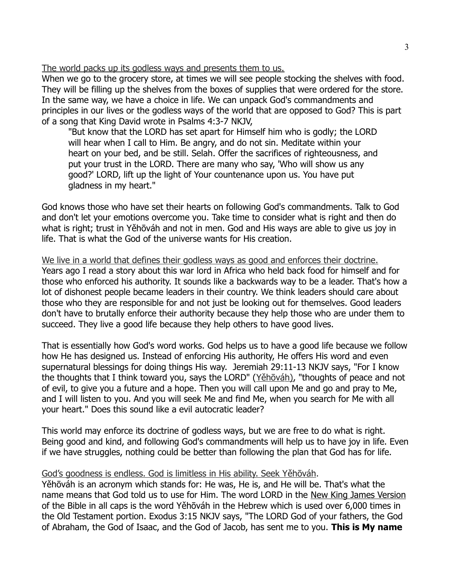The world packs up its godless ways and presents them to us.

When we go to the grocery store, at times we will see people stocking the shelves with food. They will be filling up the shelves from the boxes of supplies that were ordered for the store. In the same way, we have a choice in life. We can unpack God's commandments and principles in our lives or the godless ways of the world that are opposed to God? This is part of a song that King David wrote in Psalms 4:3-7 NKJV,

"But know that the LORD has set apart for Himself him who is godly; the LORD will hear when I call to Him. Be angry, and do not sin. Meditate within your heart on your bed, and be still. Selah. Offer the sacrifices of righteousness, and put your trust in the LORD. There are many who say, 'Who will show us any good?' LORD, lift up the light of Your countenance upon us. You have put gladness in my heart."

God knows those who have set their hearts on following God's commandments. Talk to God and don't let your emotions overcome you. Take time to consider what is right and then do what is right; trust in Yěhōváh and not in men. God and His ways are able to give us joy in life. That is what the God of the universe wants for His creation.

We live in a world that defines their godless ways as good and enforces their doctrine. Years ago I read a story about this war lord in Africa who held back food for himself and for those who enforced his authority. It sounds like a backwards way to be a leader. That's how a lot of dishonest people became leaders in their country. We think leaders should care about those who they are responsible for and not just be looking out for themselves. Good leaders don't have to brutally enforce their authority because they help those who are under them to succeed. They live a good life because they help others to have good lives.

That is essentially how God's word works. God helps us to have a good life because we follow how He has designed us. Instead of enforcing His authority, He offers His word and even supernatural blessings for doing things His way. Jeremiah 29:11-13 NKJV says, "For I know the thoughts that I think toward you, says the LORD" (Yenovan), "thoughts of peace and not of evil, to give you a future and a hope. Then you will call upon Me and go and pray to Me, and I will listen to you. And you will seek Me and find Me, when you search for Me with all your heart." Does this sound like a evil autocratic leader?

This world may enforce its doctrine of godless ways, but we are free to do what is right. Being good and kind, and following God's commandments will help us to have joy in life. Even if we have struggles, nothing could be better than following the plan that God has for life.

## God's goodness is endless. God is limitless in His ability. Seek Yěhōváh.

Yěhōváh is an acronym which stands for: He was, He is, and He will be. That's what the name means that God told us to use for Him. The word LORD in the New King James Version of the Bible in all caps is the word Yěhōváh in the Hebrew which is used over 6,000 times in the Old Testament portion. Exodus 3:15 NKJV says, "The LORD God of your fathers, the God of Abraham, the God of Isaac, and the God of Jacob, has sent me to you. **This is My name**